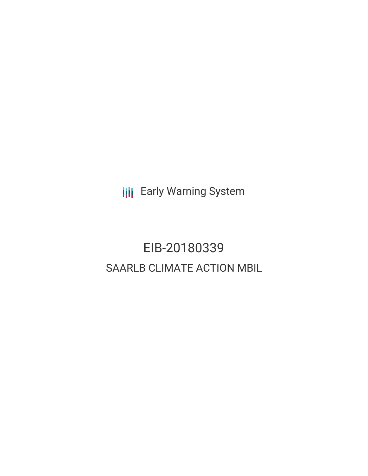**III** Early Warning System

# EIB-20180339 SAARLB CLIMATE ACTION MBIL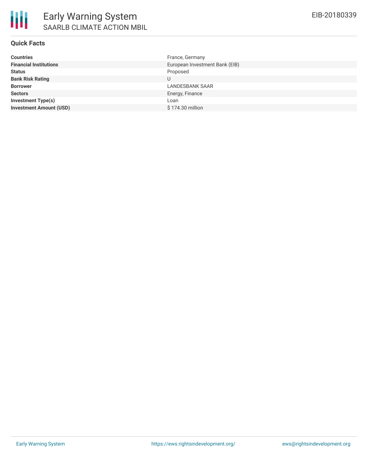

### **Quick Facts**

| <b>Countries</b>               | France, Germany                |
|--------------------------------|--------------------------------|
| <b>Financial Institutions</b>  | European Investment Bank (EIB) |
| <b>Status</b>                  | Proposed                       |
| <b>Bank Risk Rating</b>        | U                              |
| <b>Borrower</b>                | <b>LANDESBANK SAAR</b>         |
| <b>Sectors</b>                 | Energy, Finance                |
| <b>Investment Type(s)</b>      | Loan                           |
| <b>Investment Amount (USD)</b> | \$174.30 million               |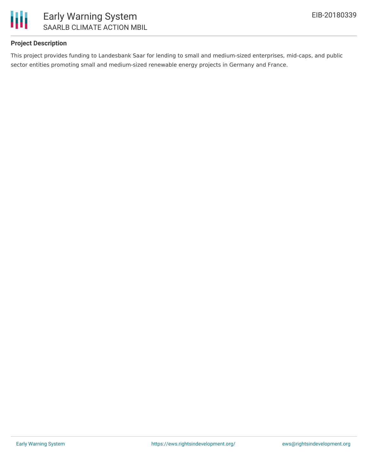

## **Project Description**

This project provides funding to Landesbank Saar for lending to small and medium-sized enterprises, mid-caps, and public sector entities promoting small and medium-sized renewable energy projects in Germany and France.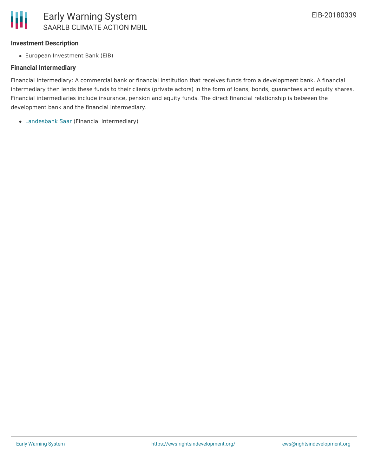### **Investment Description**

European Investment Bank (EIB)

#### **Financial Intermediary**

Financial Intermediary: A commercial bank or financial institution that receives funds from a development bank. A financial intermediary then lends these funds to their clients (private actors) in the form of loans, bonds, guarantees and equity shares. Financial intermediaries include insurance, pension and equity funds. The direct financial relationship is between the development bank and the financial intermediary.

[Landesbank](file:///actor/843/) Saar (Financial Intermediary)